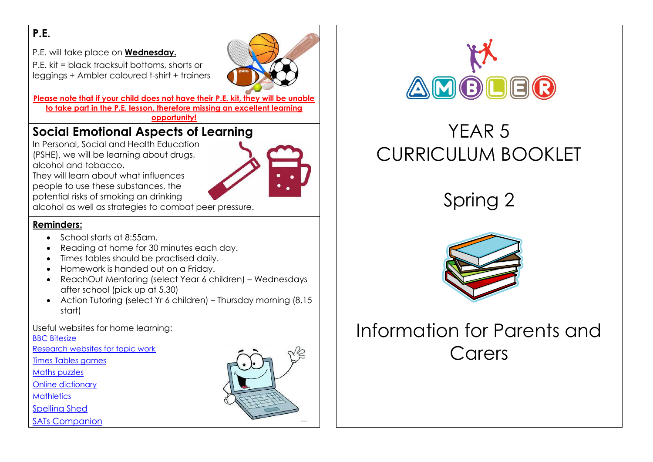#### **P.E.**

P.E. will take place on **Wednesday.**

P.E. kit = black tracksuit bottoms, shorts or leggings + Ambler coloured t-shirt + trainers

**Please note that if your child does not have their P.E. kit, they will be unable to take part in the P.E. lesson, therefore missing an excellent learning** 

**opportunity!**

## **Social Emotional Aspects of Learning**

In Personal, Social and Health Education (PSHE), we will be learning about drugs, alcohol and tobacco.



They will learn about what influences people to use these substances, the potential risks of smoking an drinking

alcohol as well as strategies to combat peer pressure.

#### **Reminders:**

- School starts at 8:55am.
- Reading at home for 30 minutes each day.
- Times tables should be practised daily.
- Homework is handed out on a Friday.
- ReachOut Mentoring (select Year 6 children) Wednesdays after school (pick up at 5.30)
- Action Tutoring (select Yr 6 children) Thursday morning (8.15 start)

#### Useful websites for home learning:

[BBC Bitesize](http://www.bbc.co.uk/bitesize/ks2/)

[Research websites for topic work](http://resources.woodlands-junior.kent.sch.uk/)

[Times Tables games](http://www.topmarks.co.uk/maths-games/7-11-years/times-tables)

[Maths puzzles](https://nrich.maths.org/)

[Online dictionary](https://dictionary.cambridge.org/dictionary/learner-english/)

**[Mathletics](http://uk.mathletics.com/)** 

[Spelling Shed](https://www.edshed.com/en-gb/login)

[SATs Companion](https://app.satscompanion.com/login)





# YEAR 5 CURRICULUM BOOKLET

Spring 2



# Information for Parents and Carers